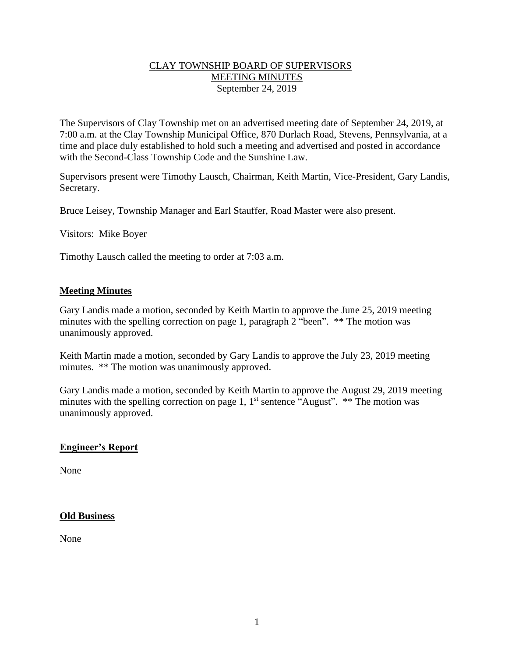#### CLAY TOWNSHIP BOARD OF SUPERVISORS MEETING MINUTES September 24, 2019

The Supervisors of Clay Township met on an advertised meeting date of September 24, 2019, at 7:00 a.m. at the Clay Township Municipal Office, 870 Durlach Road, Stevens, Pennsylvania, at a time and place duly established to hold such a meeting and advertised and posted in accordance with the Second-Class Township Code and the Sunshine Law.

Supervisors present were Timothy Lausch, Chairman, Keith Martin, Vice-President, Gary Landis, Secretary.

Bruce Leisey, Township Manager and Earl Stauffer, Road Master were also present.

Visitors: Mike Boyer

Timothy Lausch called the meeting to order at 7:03 a.m.

#### **Meeting Minutes**

Gary Landis made a motion, seconded by Keith Martin to approve the June 25, 2019 meeting minutes with the spelling correction on page 1, paragraph 2 "been". \*\* The motion was unanimously approved.

Keith Martin made a motion, seconded by Gary Landis to approve the July 23, 2019 meeting minutes. \*\* The motion was unanimously approved.

Gary Landis made a motion, seconded by Keith Martin to approve the August 29, 2019 meeting minutes with the spelling correction on page 1,  $1<sup>st</sup>$  sentence "August". \*\* The motion was unanimously approved.

## **Engineer's Report**

None

#### **Old Business**

None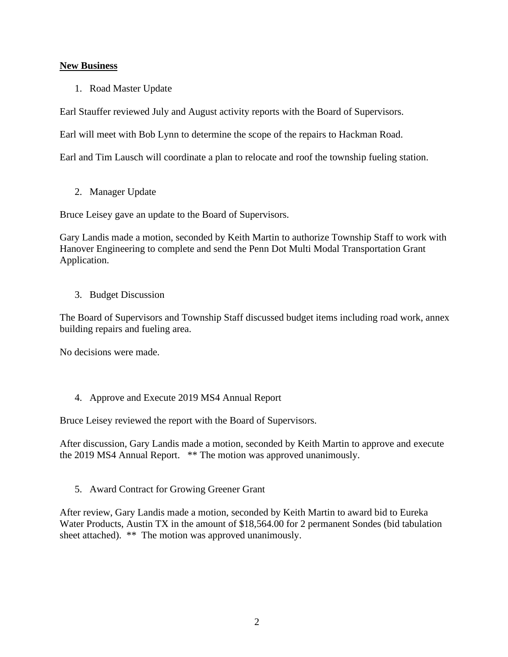## **New Business**

1. Road Master Update

Earl Stauffer reviewed July and August activity reports with the Board of Supervisors.

Earl will meet with Bob Lynn to determine the scope of the repairs to Hackman Road.

Earl and Tim Lausch will coordinate a plan to relocate and roof the township fueling station.

2. Manager Update

Bruce Leisey gave an update to the Board of Supervisors.

Gary Landis made a motion, seconded by Keith Martin to authorize Township Staff to work with Hanover Engineering to complete and send the Penn Dot Multi Modal Transportation Grant Application.

## 3. Budget Discussion

The Board of Supervisors and Township Staff discussed budget items including road work, annex building repairs and fueling area.

No decisions were made.

4. Approve and Execute 2019 MS4 Annual Report

Bruce Leisey reviewed the report with the Board of Supervisors.

After discussion, Gary Landis made a motion, seconded by Keith Martin to approve and execute the 2019 MS4 Annual Report. \*\* The motion was approved unanimously.

5. Award Contract for Growing Greener Grant

After review, Gary Landis made a motion, seconded by Keith Martin to award bid to Eureka Water Products, Austin TX in the amount of \$18,564.00 for 2 permanent Sondes (bid tabulation sheet attached). \*\* The motion was approved unanimously.